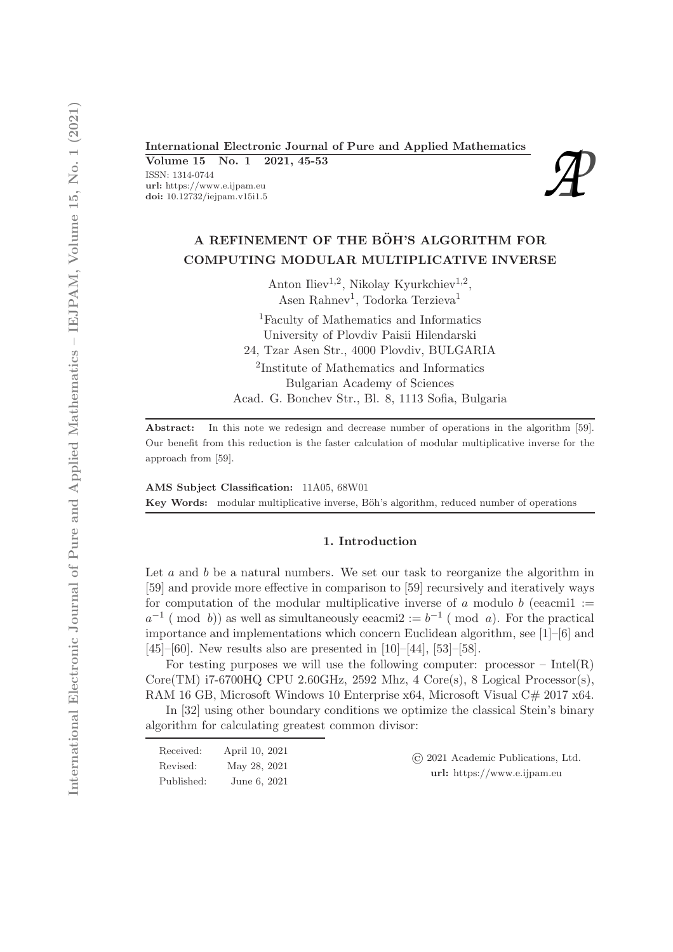# International Electronic Journal of Pure and Applied Mathematics<br>
Volume 15 No. 1 2021, 45-53<br>
ISSN: 1314-0744<br>
url: https://www.e.ijpam.eu<br>
doi: 10.12732/iejpam.v15i1.5

Volume 15 No. 1 2021, 45-53

ISSN: 1314-0744 url: https://www.e.ijpam.eu<br>doi: 10.12732/iejpam.v15i1.5



# A REFINEMENT OF THE BÖH'S ALGORITHM FOR COMPUTING MODULAR MULTIPLICATIVE INVERSE

Anton Iliev<sup>1,2</sup>, Nikolay Kyurkchiev<sup>1,2</sup>, Asen Rahnev<sup>1</sup>, Todorka Terzieva<sup>1</sup>

<sup>1</sup>Faculty of Mathematics and Informatics University of Plovdiv Paisii Hilendarski 24, Tzar Asen Str., 4000 Plovdiv, BULGARIA 2 Institute of Mathematics and Informatics Bulgarian Academy of Sciences

Acad. G. Bonchev Str., Bl. 8, 1113 Sofia, Bulgaria

Abstract: In this note we redesign and decrease number of operations in the algorithm [59]. Our benefit from this reduction is the faster calculation of modular multiplicative inverse for the approach from [59].

AMS Subject Classification: 11A05, 68W01 Key Words: modular multiplicative inverse, Böh's algorithm, reduced number of operations

#### 1. Introduction

Let  $a$  and  $b$  be a natural numbers. We set our task to reorganize the algorithm in [59] and provide more effective in comparison to [59] recursively and iteratively ways for computation of the modular multiplicative inverse of a modulo b (eeacmil :=  $a^{-1}$  (mod b)) as well as simultaneously eeacmi2 :=  $b^{-1}$  (mod a). For the practical importance and implementations which concern Euclidean algorithm, see [1]–[6] and [45]–[60]. New results also are presented in [10]–[44], [53]–[58].

For testing purposes we will use the following computer: processor – Intel $(R)$ Core(TM) i7-6700HQ CPU 2.60GHz, 2592 Mhz, 4 Core(s), 8 Logical Processor(s), RAM 16 GB, Microsoft Windows 10 Enterprise x64, Microsoft Visual C# 2017 x64.

In [32] using other boundary conditions we optimize the classical Stein's binary algorithm for calculating greatest common divisor:

| Received:  | April 10, 2021 | (c) 2021 Academic Publications, Ltd. |
|------------|----------------|--------------------------------------|
| Revised:   | May 28, 2021   | url: https://www.e.ijpam.eu          |
| Published: | June 6, 2021   |                                      |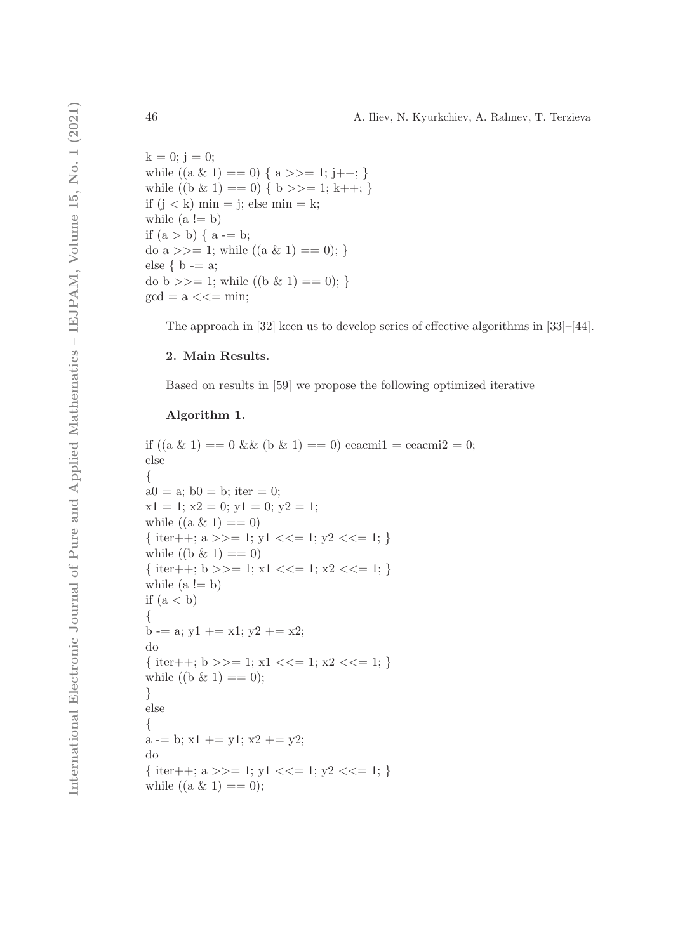$k = 0$ ; j = 0; while  $((a \& 1) == 0) \{ a \}>=1; j++)$ ; while  $((b \& 1) == 0) \{ b \}>=1; k++, \}$ if  $(j < k)$  min = j; else min = k; while  $(a != b)$ if  $(a > b) \{ a -b;$ do a  $>>= 1$ ; while  $((a \& 1) == 0)$ ; } else  $\{ b == a;$ do b  $\gg$  = 1; while  $((b \& 1) == 0);$  $gcd = a \lt\lt = min;$ 

The approach in [32] keen us to develop series of effective algorithms in [33]–[44].

# 2. Main Results.

Based on results in [59] we propose the following optimized iterative

# Algorithm 1.

```
if ((a \& 1) == 0 \& (b \& 1) == 0) eeacmil = eeacmil = 0;
else
{
a0 = a; b0 = b; iter = 0;
x1 = 1; x2 = 0; y1 = 0; y2 = 1;
while ((a \& 1) == 0){ iter++; a \gg 1; y1 \ll 1; y2 \ll 1; }
while ((b \& 1) == 0){ iter++; b >>= 1; x1 <<= 1; x2 <<= 1; }
while (a != b)if (a < b){
b -= a; y1 += x1; y2 += x2;
do
{ iter++; b >>= 1; x1 <<= 1; x2 <<= 1; }
while ((b \& 1) == 0);}
else
{
a = b; x1 + y1; x2 + y2;
do
{ iter++; a >>= 1; y1 <<= 1; y2 <<= 1; }
while ((a \& 1) == 0);
```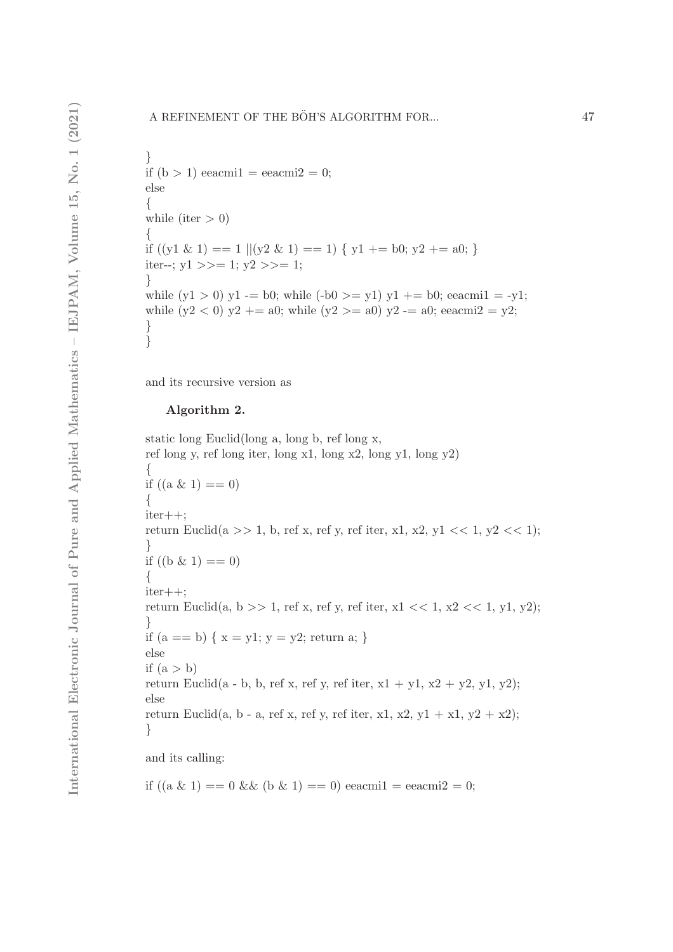} if  $(b > 1)$  eeacmi $1 =$  eeacmi $2 = 0$ ; else { while (iter  $> 0$ ) { if  $((y1 \& 1) == 1 \parallel (y2 \& 1) == 1) \{ y1 += b0; y2 += a0; \}$ iter--;  $y1 \gg 1$ ;  $y2 \gg 1$ ; } while  $(y1 > 0)$  y1 -= b0; while  $(-b0 \gt= y1)$  y1 += b0; eeacmi1 = -y1; while  $(y2 < 0)$   $y2 + a0$ ; while  $(y2 > a0)$   $y2 - a0$ ; eeacmi $2 = y2$ ; }}

and its recursive version as

## Algorithm 2.

static long Euclid(long a, long b, ref long x, ref long y, ref long iter, long x1, long x2, long y1, long y2) { if  $((a \& 1) == 0)$ { iter++; return Euclid(a >> 1, b, ref x, ref y, ref iter, x1, x2, y1 << 1, y2 << 1); } if  $((b \& 1) == 0)$ { iter++; return Euclid(a, b >> 1, ref x, ref y, ref iter, x1 << 1, x2 << 1, y1, y2); } if  $(a == b) \{ x = y1; y = y2; return a; \}$ else if  $(a > b)$ return Euclid(a - b, b, ref x, ref y, ref iter,  $x1 + y1$ ,  $x2 + y2$ ,  $y1$ ,  $y2$ ); else return Euclid(a, b - a, ref x, ref y, ref iter, x1, x2, y1 + x1, y2 + x2); } and its calling:

if  $((a \& 1) == 0 \& 0 \& 1) == 0$  eeacmil = eeacmil = 0;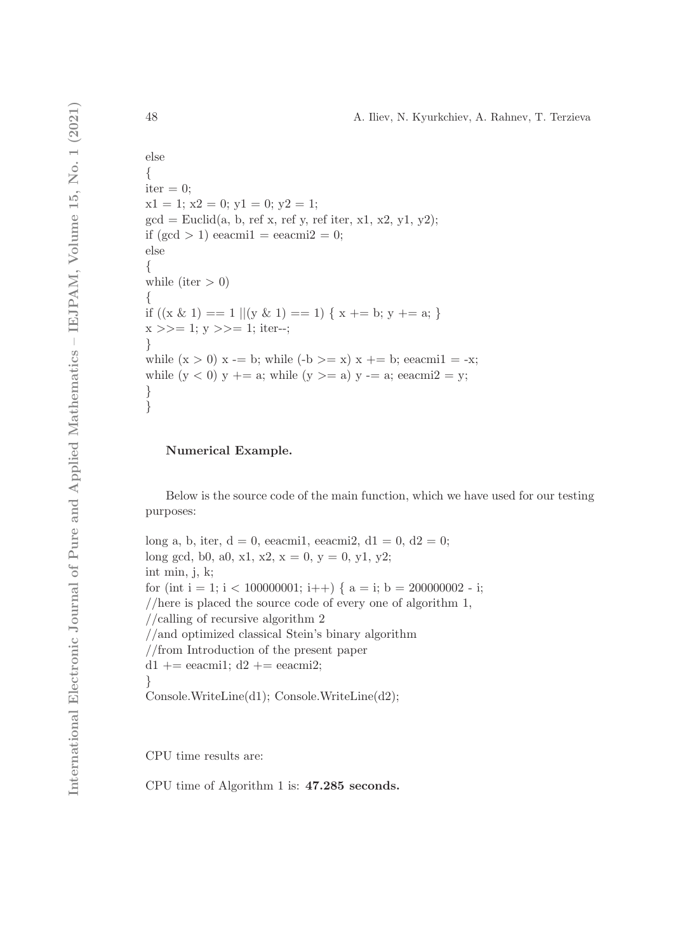```
else
{
iter = 0;x1 = 1; x2 = 0; y1 = 0; y2 = 1;
gcd = Euclid(a, b, ref x, ref y, ref iter, x1, x2, y1, y2);if (\text{gcd} > 1) eeacmi1 = \text{eecami} = 0;
else
{
while (iter > 0)
{
if ((x \& 1) == 1 || (y \& 1) == 1) { x += b; y += a; }x \gg = 1; y \gg = 1; iter--;
}
while (x > 0) x -= b; while (-b \ge x) x += b; eeacmil = -x;
while (y < 0) y += a; while (y >= a) y == a; eeacmi2 = y;
}
}
```
## Numerical Example.

Below is the source code of the main function, which we have used for our testing purposes:

long a, b, iter,  $d = 0$ , eeacmi1, eeacmi2,  $d1 = 0$ ,  $d2 = 0$ ; long gcd, b0, a0, x1, x2,  $x = 0$ ,  $y = 0$ ,  $y1$ ,  $y2$ ; int min, j, k; for (int i = 1; i < 100000001; i++) {  $a = i$ ; b = 200000002 - i; //here is placed the source code of every one of algorithm 1, //calling of recursive algorithm 2 //and optimized classical Stein's binary algorithm //from Introduction of the present paper  $d1$  += eeacmi1;  $d2$  += eeacmi2; } Console.WriteLine(d1); Console.WriteLine(d2);

CPU time results are:

CPU time of Algorithm 1 is: 47.285 seconds.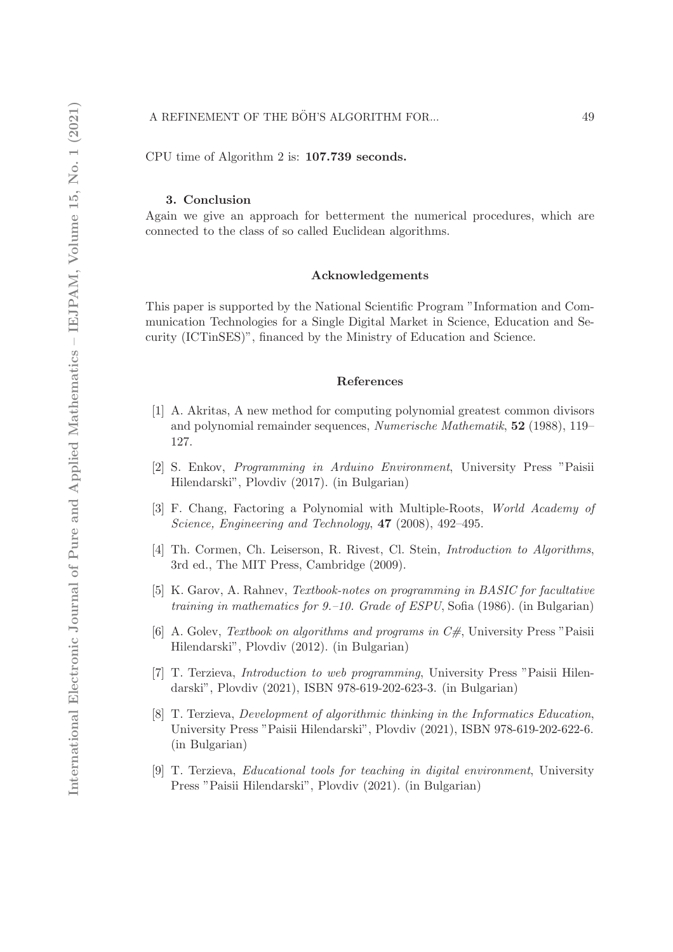CPU time of Algorithm 2 is: 107.739 seconds.

#### 3. Conclusion

Again we give an approach for betterment the numerical procedures, which are connected to the class of so called Euclidean algorithms.

#### Acknowledgements

This paper is supported by the National Scientific Program "Information and Communication Technologies for a Single Digital Market in Science, Education and Security (ICTinSES)", financed by the Ministry of Education and Science.

#### References

- [1] A. Akritas, A new method for computing polynomial greatest common divisors and polynomial remainder sequences, Numerische Mathematik, 52 (1988), 119– 127.
- [2] S. Enkov, Programming in Arduino Environment, University Press "Paisii Hilendarski", Plovdiv (2017). (in Bulgarian)
- [3] F. Chang, Factoring a Polynomial with Multiple-Roots, World Academy of Science, Engineering and Technology, **47** (2008), 492-495.
- [4] Th. Cormen, Ch. Leiserson, R. Rivest, Cl. Stein, *Introduction to Algorithms*, 3rd ed., The MIT Press, Cambridge (2009).
- [5] K. Garov, A. Rahnev, Textbook-notes on programming in BASIC for facultative training in mathematics for 9.–10. Grade of ESPU, Sofia (1986). (in Bulgarian)
- [6] A. Golev, Textbook on algorithms and programs in  $C#$ , University Press "Paisii Hilendarski", Plovdiv (2012). (in Bulgarian)
- [7] T. Terzieva, Introduction to web programming, University Press "Paisii Hilendarski", Plovdiv (2021), ISBN 978-619-202-623-3. (in Bulgarian)
- [8] T. Terzieva, *Development of algorithmic thinking in the Informatics Education*, University Press "Paisii Hilendarski", Plovdiv (2021), ISBN 978-619-202-622-6. (in Bulgarian)
- [9] T. Terzieva, Educational tools for teaching in digital environment, University Press "Paisii Hilendarski", Plovdiv (2021). (in Bulgarian)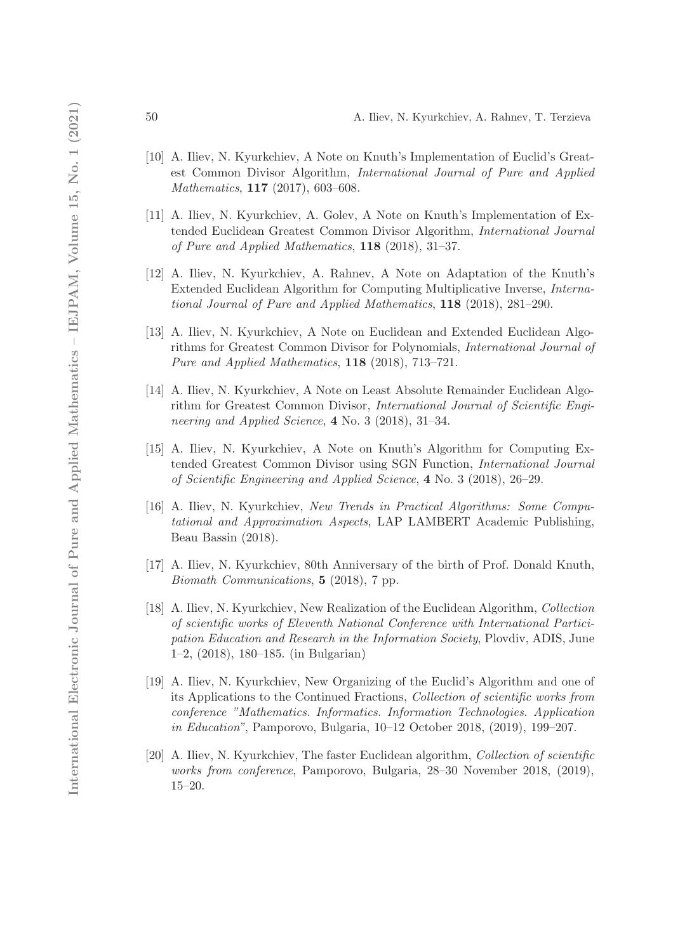- [10] A. Iliev, N. Kyurkchiev, A Note on Knuth's Implementation of Euclid's Greatest Common Divisor Algorithm, International Journal of Pure and Applied Mathematics, 117 (2017), 603–608.
- [11] A. Iliev, N. Kyurkchiev, A. Golev, A Note on Knuth's Implementation of Extended Euclidean Greatest Common Divisor Algorithm, International Journal of Pure and Applied Mathematics, 118 (2018), 31–37.
- [12] A. Iliev, N. Kyurkchiev, A. Rahnev, A Note on Adaptation of the Knuth's Extended Euclidean Algorithm for Computing Multiplicative Inverse, International Journal of Pure and Applied Mathematics, 118 (2018), 281–290.
- [13] A. Iliev, N. Kyurkchiev, A Note on Euclidean and Extended Euclidean Algorithms for Greatest Common Divisor for Polynomials, International Journal of Pure and Applied Mathematics, 118 (2018), 713–721.
- [14] A. Iliev, N. Kyurkchiev, A Note on Least Absolute Remainder Euclidean Algorithm for Greatest Common Divisor, International Journal of Scientific Engineering and Applied Science, 4 No. 3 (2018), 31–34.
- [15] A. Iliev, N. Kyurkchiev, A Note on Knuth's Algorithm for Computing Extended Greatest Common Divisor using SGN Function, International Journal of Scientific Engineering and Applied Science, 4 No. 3 (2018), 26–29.
- [16] A. Iliev, N. Kyurkchiev, New Trends in Practical Algorithms: Some Computational and Approximation Aspects, LAP LAMBERT Academic Publishing, Beau Bassin (2018).
- [17] A. Iliev, N. Kyurkchiev, 80th Anniversary of the birth of Prof. Donald Knuth, Biomath Communications, 5 (2018), 7 pp.
- [18] A. Iliev, N. Kyurkchiev, New Realization of the Euclidean Algorithm, Collection of scientific works of Eleventh National Conference with International Participation Education and Research in the Information Society, Plovdiv, ADIS, June 1–2, (2018), 180–185. (in Bulgarian)
- [19] A. Iliev, N. Kyurkchiev, New Organizing of the Euclid's Algorithm and one of its Applications to the Continued Fractions, Collection of scientific works from conference "Mathematics. Informatics. Information Technologies. Application in Education", Pamporovo, Bulgaria, 10–12 October 2018, (2019), 199–207.
- [20] A. Iliev, N. Kyurkchiev, The faster Euclidean algorithm, Collection of scientific works from conference, Pamporovo, Bulgaria, 28–30 November 2018, (2019), 15–20.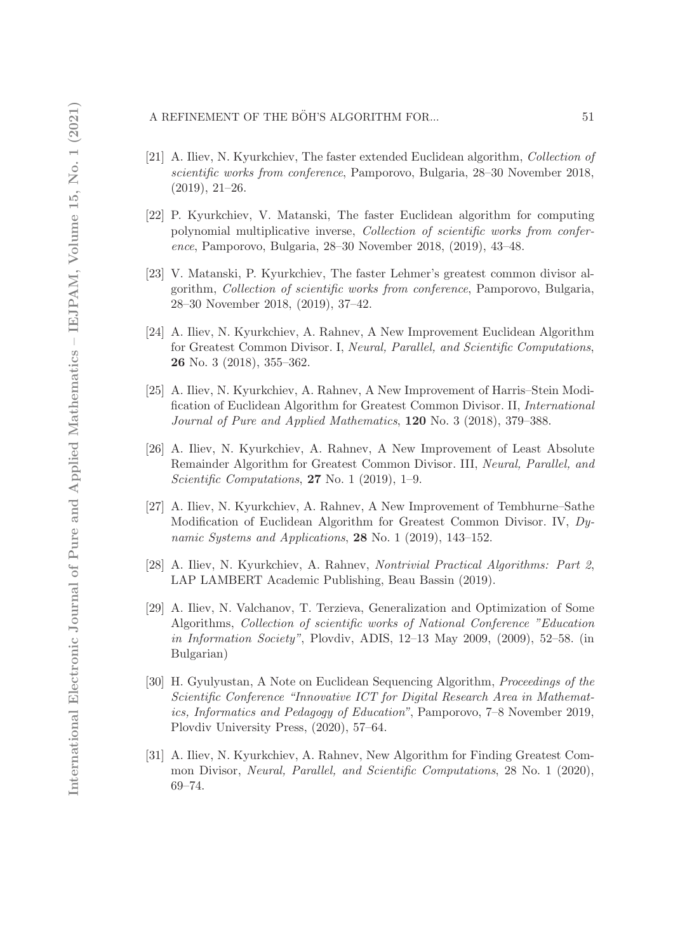#### A REFINEMENT OF THE BÖH'S ALGORITHM FOR...  $51$

- [21] A. Iliev, N. Kyurkchiev, The faster extended Euclidean algorithm, Collection of scientific works from conference, Pamporovo, Bulgaria, 28–30 November 2018, (2019), 21–26.
- [22] P. Kyurkchiev, V. Matanski, The faster Euclidean algorithm for computing polynomial multiplicative inverse, Collection of scientific works from conference, Pamporovo, Bulgaria, 28–30 November 2018, (2019), 43–48.
- [23] V. Matanski, P. Kyurkchiev, The faster Lehmer's greatest common divisor algorithm, Collection of scientific works from conference, Pamporovo, Bulgaria, 28–30 November 2018, (2019), 37–42.
- [24] A. Iliev, N. Kyurkchiev, A. Rahnev, A New Improvement Euclidean Algorithm for Greatest Common Divisor. I, Neural, Parallel, and Scientific Computations, 26 No. 3 (2018), 355–362.
- [25] A. Iliev, N. Kyurkchiev, A. Rahnev, A New Improvement of Harris–Stein Modification of Euclidean Algorithm for Greatest Common Divisor. II, International Journal of Pure and Applied Mathematics, 120 No. 3 (2018), 379–388.
- [26] A. Iliev, N. Kyurkchiev, A. Rahnev, A New Improvement of Least Absolute Remainder Algorithm for Greatest Common Divisor. III, Neural, Parallel, and Scientific Computations, 27 No. 1 (2019), 1-9.
- [27] A. Iliev, N. Kyurkchiev, A. Rahnev, A New Improvement of Tembhurne–Sathe Modification of Euclidean Algorithm for Greatest Common Divisor. IV, Dynamic Systems and Applications, 28 No. 1 (2019), 143-152.
- [28] A. Iliev, N. Kyurkchiev, A. Rahnev, Nontrivial Practical Algorithms: Part 2, LAP LAMBERT Academic Publishing, Beau Bassin (2019).
- [29] A. Iliev, N. Valchanov, T. Terzieva, Generalization and Optimization of Some Algorithms, Collection of scientific works of National Conference "Education in Information Society", Plovdiv, ADIS, 12–13 May 2009, (2009), 52–58. (in Bulgarian)
- [30] H. Gyulyustan, A Note on Euclidean Sequencing Algorithm, Proceedings of the Scientific Conference "Innovative ICT for Digital Research Area in Mathematics, Informatics and Pedagogy of Education", Pamporovo, 7–8 November 2019, Plovdiv University Press, (2020), 57–64.
- [31] A. Iliev, N. Kyurkchiev, A. Rahnev, New Algorithm for Finding Greatest Common Divisor, Neural, Parallel, and Scientific Computations, 28 No. 1 (2020), 69–74.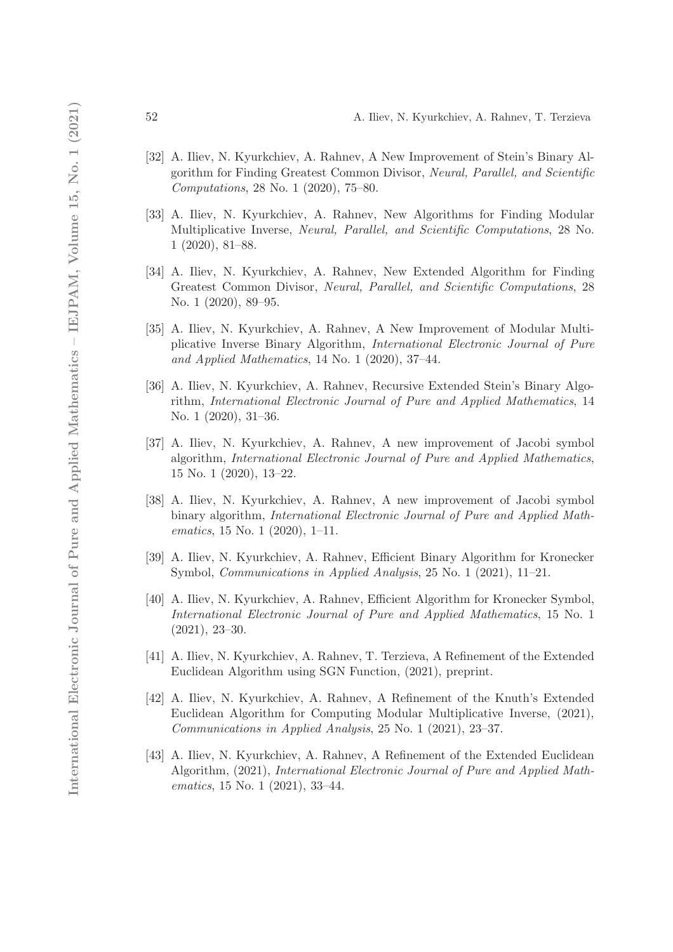- [32] A. Iliev, N. Kyurkchiev, A. Rahnev, A New Improvement of Stein's Binary Algorithm for Finding Greatest Common Divisor, Neural, Parallel, and Scientific Computations, 28 No. 1 (2020), 75–80.
- [33] A. Iliev, N. Kyurkchiev, A. Rahnev, New Algorithms for Finding Modular Multiplicative Inverse, Neural, Parallel, and Scientific Computations, 28 No. 1 (2020), 81–88.
- [34] A. Iliev, N. Kyurkchiev, A. Rahnev, New Extended Algorithm for Finding Greatest Common Divisor, Neural, Parallel, and Scientific Computations, 28 No. 1 (2020), 89–95.
- [35] A. Iliev, N. Kyurkchiev, A. Rahnev, A New Improvement of Modular Multiplicative Inverse Binary Algorithm, International Electronic Journal of Pure and Applied Mathematics, 14 No. 1 (2020), 37–44.
- [36] A. Iliev, N. Kyurkchiev, A. Rahnev, Recursive Extended Stein's Binary Algorithm, International Electronic Journal of Pure and Applied Mathematics, 14 No. 1 (2020), 31–36.
- [37] A. Iliev, N. Kyurkchiev, A. Rahnev, A new improvement of Jacobi symbol algorithm, International Electronic Journal of Pure and Applied Mathematics, 15 No. 1 (2020), 13–22.
- [38] A. Iliev, N. Kyurkchiev, A. Rahnev, A new improvement of Jacobi symbol binary algorithm, International Electronic Journal of Pure and Applied Mathematics, 15 No. 1 (2020), 1–11.
- [39] A. Iliev, N. Kyurkchiev, A. Rahnev, Efficient Binary Algorithm for Kronecker Symbol, Communications in Applied Analysis, 25 No. 1 (2021), 11–21.
- [40] A. Iliev, N. Kyurkchiev, A. Rahnev, Efficient Algorithm for Kronecker Symbol, International Electronic Journal of Pure and Applied Mathematics, 15 No. 1 (2021), 23–30.
- [41] A. Iliev, N. Kyurkchiev, A. Rahnev, T. Terzieva, A Refinement of the Extended Euclidean Algorithm using SGN Function, (2021), preprint.
- [42] A. Iliev, N. Kyurkchiev, A. Rahnev, A Refinement of the Knuth's Extended Euclidean Algorithm for Computing Modular Multiplicative Inverse, (2021), Communications in Applied Analysis, 25 No. 1 (2021), 23–37.
- [43] A. Iliev, N. Kyurkchiev, A. Rahnev, A Refinement of the Extended Euclidean Algorithm, (2021), International Electronic Journal of Pure and Applied Mathematics, 15 No. 1 (2021), 33–44.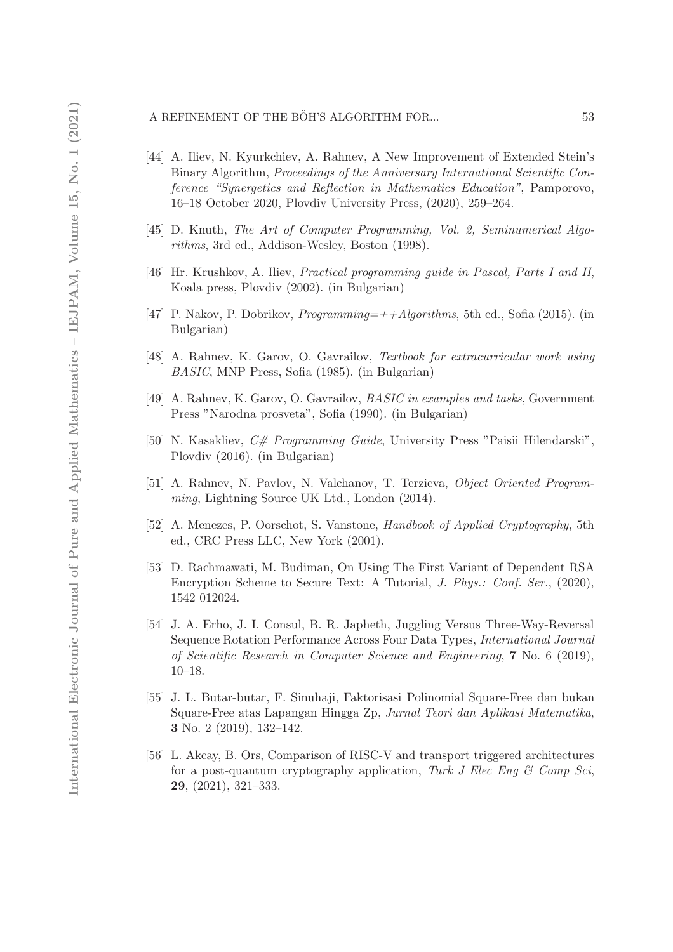#### A REFINEMENT OF THE BÖH'S ALGORITHM FOR...  $53$

- [44] A. Iliev, N. Kyurkchiev, A. Rahnev, A New Improvement of Extended Stein's Binary Algorithm, Proceedings of the Anniversary International Scientific Conference "Synergetics and Reflection in Mathematics Education", Pamporovo, 16–18 October 2020, Plovdiv University Press, (2020), 259–264.
- [45] D. Knuth, The Art of Computer Programming, Vol. 2, Seminumerical Algorithms, 3rd ed., Addison-Wesley, Boston (1998).
- [46] Hr. Krushkov, A. Iliev, Practical programming guide in Pascal, Parts I and II, Koala press, Plovdiv (2002). (in Bulgarian)
- [47] P. Nakov, P. Dobrikov, Programming=++Algorithms, 5th ed., Sofia (2015). (in Bulgarian)
- [48] A. Rahnev, K. Garov, O. Gavrailov, Textbook for extracurricular work using BASIC, MNP Press, Sofia (1985). (in Bulgarian)
- [49] A. Rahnev, K. Garov, O. Gavrailov, BASIC in examples and tasks, Government Press "Narodna prosveta", Sofia (1990). (in Bulgarian)
- [50] N. Kasakliev, C# Programming Guide, University Press "Paisii Hilendarski", Plovdiv (2016). (in Bulgarian)
- [51] A. Rahnev, N. Pavlov, N. Valchanov, T. Terzieva, Object Oriented Programming, Lightning Source UK Ltd., London (2014).
- [52] A. Menezes, P. Oorschot, S. Vanstone, Handbook of Applied Cryptography, 5th ed., CRC Press LLC, New York (2001).
- [53] D. Rachmawati, M. Budiman, On Using The First Variant of Dependent RSA Encryption Scheme to Secure Text: A Tutorial, J. Phys.: Conf. Ser., (2020), 1542 012024.
- [54] J. A. Erho, J. I. Consul, B. R. Japheth, Juggling Versus Three-Way-Reversal Sequence Rotation Performance Across Four Data Types, International Journal of Scientific Research in Computer Science and Engineering, 7 No. 6 (2019), 10–18.
- [55] J. L. Butar-butar, F. Sinuhaji, Faktorisasi Polinomial Square-Free dan bukan Square-Free atas Lapangan Hingga Zp, Jurnal Teori dan Aplikasi Matematika, 3 No. 2 (2019), 132–142.
- [56] L. Akcay, B. Ors, Comparison of RISC-V and transport triggered architectures for a post-quantum cryptography application, Turk J Elec Eng  $\mathcal C$  Comp Sci, 29, (2021), 321–333.